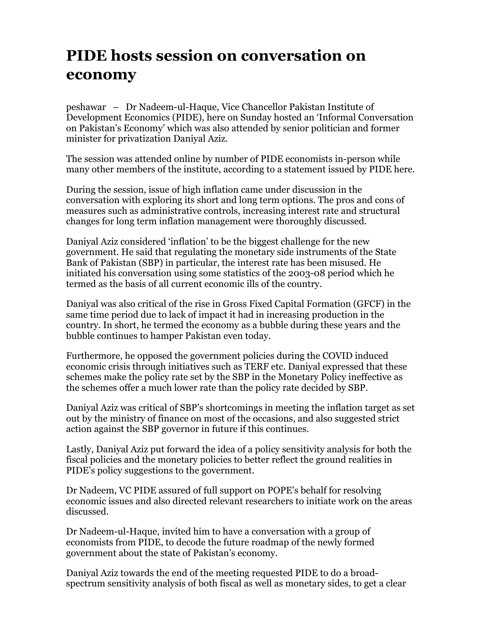## **PIDE hosts session on conversation on economy**

peshawar – Dr Nadeem-ul-Haque, Vice Chancellor Pakistan Institute of Development Economics (PIDE), here on Sunday hosted an 'Informal Conversation on Pakistan's Economy' which was also attended by senior politician and former minister for privatization Daniyal Aziz.

The session was attended online by number of PIDE economists in-person while many other members of the institute, according to a statement issued by PIDE here.

During the session, issue of high inflation came under discussion in the conversation with exploring its short and long term options. The pros and cons of measures such as administrative controls, increasing interest rate and structural changes for long term inflation management were thoroughly discussed.

Daniyal Aziz considered 'inflation' to be the biggest challenge for the new government. He said that regulating the monetary side instruments of the State Bank of Pakistan (SBP) in particular, the interest rate has been misused. He initiated his conversation using some statistics of the 2003-08 period which he termed as the basis of all current economic ills of the country.

Daniyal was also critical of the rise in Gross Fixed Capital Formation (GFCF) in the same time period due to lack of impact it had in increasing production in the country. In short, he termed the economy as a bubble during these years and the bubble continues to hamper Pakistan even today.

Furthermore, he opposed the government policies during the COVID induced economic crisis through initiatives such as TERF etc. Daniyal expressed that these schemes make the policy rate set by the SBP in the Monetary Policy ineffective as the schemes offer a much lower rate than the policy rate decided by SBP.

Daniyal Aziz was critical of SBP's shortcomings in meeting the inflation target as set out by the ministry of finance on most of the occasions, and also suggested strict action against the SBP governor in future if this continues.

Lastly, Daniyal Aziz put forward the idea of a policy sensitivity analysis for both the fiscal policies and the monetary policies to better reflect the ground realities in PIDE's policy suggestions to the government.

Dr Nadeem, VC PIDE assured of full support on POPE's behalf for resolving economic issues and also directed relevant researchers to initiate work on the areas discussed.

Dr Nadeem-ul-Haque, invited him to have a conversation with a group of economists from PIDE, to decode the future roadmap of the newly formed government about the state of Pakistan's economy.

Daniyal Aziz towards the end of the meeting requested PIDE to do a broadspectrum sensitivity analysis of both fiscal as well as monetary sides, to get a clear